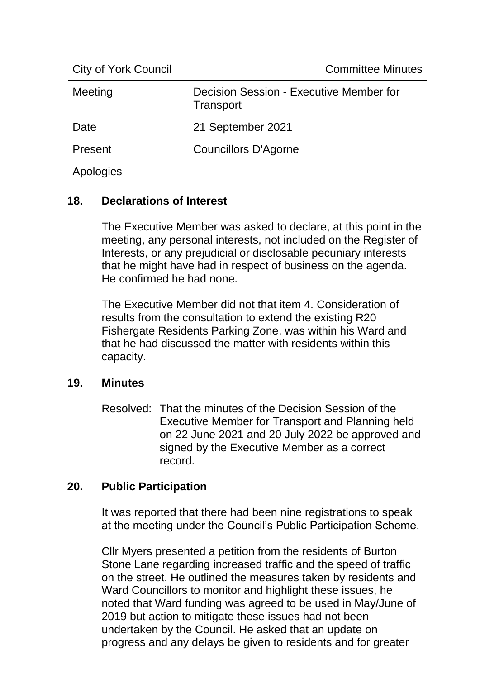City of York Council **Committee Minutes** 

| Meeting   | Decision Session - Executive Member for<br>Transport |
|-----------|------------------------------------------------------|
| Date      | 21 September 2021                                    |
| Present   | Councillors D'Agorne                                 |
| Apologies |                                                      |

## **18. Declarations of Interest**

The Executive Member was asked to declare, at this point in the meeting, any personal interests, not included on the Register of Interests, or any prejudicial or disclosable pecuniary interests that he might have had in respect of business on the agenda. He confirmed he had none.

The Executive Member did not that item 4. Consideration of results from the consultation to extend the existing R20 Fishergate Residents Parking Zone, was within his Ward and that he had discussed the matter with residents within this capacity.

## **19. Minutes**

Resolved: That the minutes of the Decision Session of the Executive Member for Transport and Planning held on 22 June 2021 and 20 July 2022 be approved and signed by the Executive Member as a correct record.

## **20. Public Participation**

It was reported that there had been nine registrations to speak at the meeting under the Council's Public Participation Scheme.

Cllr Myers presented a petition from the residents of Burton Stone Lane regarding increased traffic and the speed of traffic on the street. He outlined the measures taken by residents and Ward Councillors to monitor and highlight these issues, he noted that Ward funding was agreed to be used in May/June of 2019 but action to mitigate these issues had not been undertaken by the Council. He asked that an update on progress and any delays be given to residents and for greater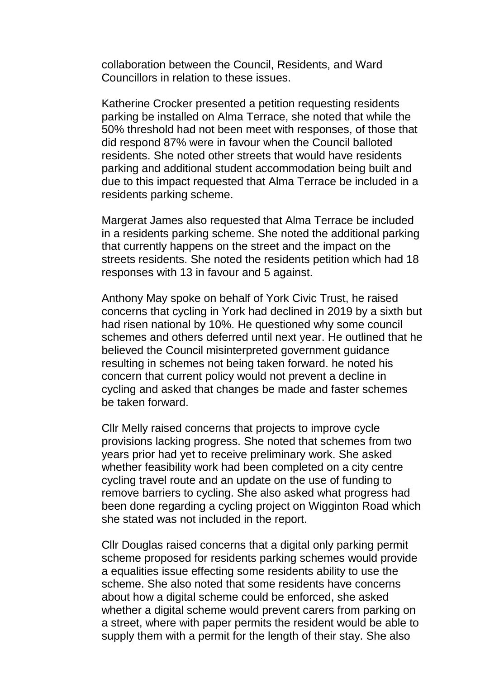collaboration between the Council, Residents, and Ward Councillors in relation to these issues.

Katherine Crocker presented a petition requesting residents parking be installed on Alma Terrace, she noted that while the 50% threshold had not been meet with responses, of those that did respond 87% were in favour when the Council balloted residents. She noted other streets that would have residents parking and additional student accommodation being built and due to this impact requested that Alma Terrace be included in a residents parking scheme.

Margerat James also requested that Alma Terrace be included in a residents parking scheme. She noted the additional parking that currently happens on the street and the impact on the streets residents. She noted the residents petition which had 18 responses with 13 in favour and 5 against.

Anthony May spoke on behalf of York Civic Trust, he raised concerns that cycling in York had declined in 2019 by a sixth but had risen national by 10%. He questioned why some council schemes and others deferred until next year. He outlined that he believed the Council misinterpreted government guidance resulting in schemes not being taken forward. he noted his concern that current policy would not prevent a decline in cycling and asked that changes be made and faster schemes be taken forward.

Cllr Melly raised concerns that projects to improve cycle provisions lacking progress. She noted that schemes from two years prior had yet to receive preliminary work. She asked whether feasibility work had been completed on a city centre cycling travel route and an update on the use of funding to remove barriers to cycling. She also asked what progress had been done regarding a cycling project on Wigginton Road which she stated was not included in the report.

Cllr Douglas raised concerns that a digital only parking permit scheme proposed for residents parking schemes would provide a equalities issue effecting some residents ability to use the scheme. She also noted that some residents have concerns about how a digital scheme could be enforced, she asked whether a digital scheme would prevent carers from parking on a street, where with paper permits the resident would be able to supply them with a permit for the length of their stay. She also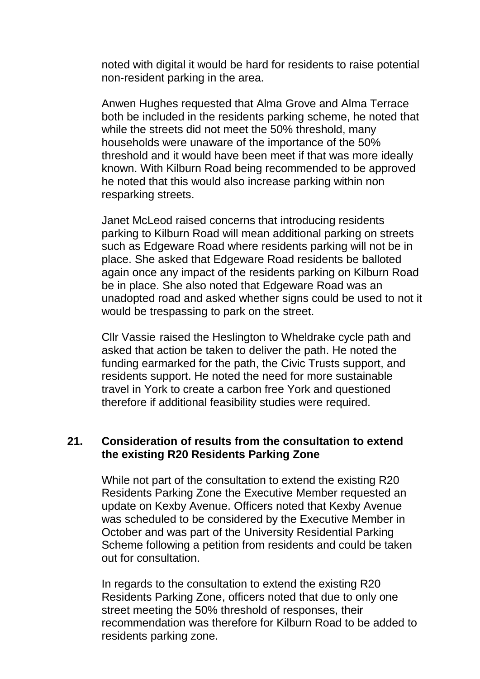noted with digital it would be hard for residents to raise potential non-resident parking in the area.

Anwen Hughes requested that Alma Grove and Alma Terrace both be included in the residents parking scheme, he noted that while the streets did not meet the 50% threshold, many households were unaware of the importance of the 50% threshold and it would have been meet if that was more ideally known. With Kilburn Road being recommended to be approved he noted that this would also increase parking within non resparking streets.

Janet McLeod raised concerns that introducing residents parking to Kilburn Road will mean additional parking on streets such as Edgeware Road where residents parking will not be in place. She asked that Edgeware Road residents be balloted again once any impact of the residents parking on Kilburn Road be in place. She also noted that Edgeware Road was an unadopted road and asked whether signs could be used to not it would be trespassing to park on the street.

Cllr Vassie raised the Heslington to Wheldrake cycle path and asked that action be taken to deliver the path. He noted the funding earmarked for the path, the Civic Trusts support, and residents support. He noted the need for more sustainable travel in York to create a carbon free York and questioned therefore if additional feasibility studies were required.

#### **21. Consideration of results from the consultation to extend the existing R20 Residents Parking Zone**

While not part of the consultation to extend the existing R20 Residents Parking Zone the Executive Member requested an update on Kexby Avenue. Officers noted that Kexby Avenue was scheduled to be considered by the Executive Member in October and was part of the University Residential Parking Scheme following a petition from residents and could be taken out for consultation.

In regards to the consultation to extend the existing R20 Residents Parking Zone, officers noted that due to only one street meeting the 50% threshold of responses, their recommendation was therefore for Kilburn Road to be added to residents parking zone.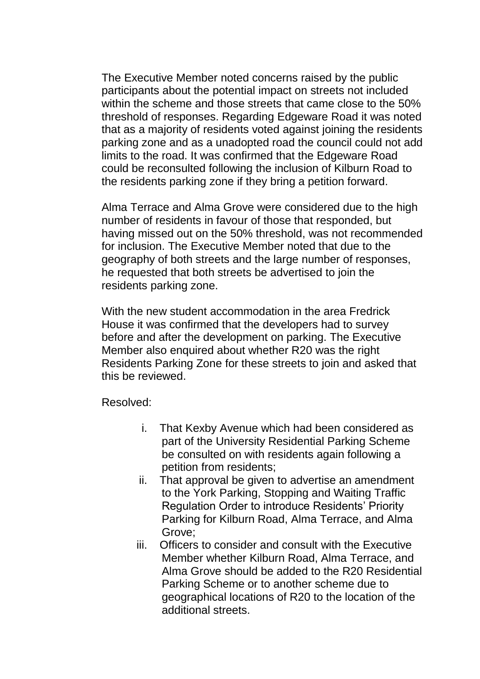The Executive Member noted concerns raised by the public participants about the potential impact on streets not included within the scheme and those streets that came close to the 50% threshold of responses. Regarding Edgeware Road it was noted that as a majority of residents voted against joining the residents parking zone and as a unadopted road the council could not add limits to the road. It was confirmed that the Edgeware Road could be reconsulted following the inclusion of Kilburn Road to the residents parking zone if they bring a petition forward.

Alma Terrace and Alma Grove were considered due to the high number of residents in favour of those that responded, but having missed out on the 50% threshold, was not recommended for inclusion. The Executive Member noted that due to the geography of both streets and the large number of responses, he requested that both streets be advertised to join the residents parking zone.

With the new student accommodation in the area Fredrick House it was confirmed that the developers had to survey before and after the development on parking. The Executive Member also enquired about whether R20 was the right Residents Parking Zone for these streets to join and asked that this be reviewed.

Resolved:

- i. That Kexby Avenue which had been considered as part of the University Residential Parking Scheme be consulted on with residents again following a petition from residents;
- ii. That approval be given to advertise an amendment to the York Parking, Stopping and Waiting Traffic Regulation Order to introduce Residents' Priority Parking for Kilburn Road, Alma Terrace, and Alma Grove;
- iii. Officers to consider and consult with the Executive Member whether Kilburn Road, Alma Terrace, and Alma Grove should be added to the R20 Residential Parking Scheme or to another scheme due to geographical locations of R20 to the location of the additional streets.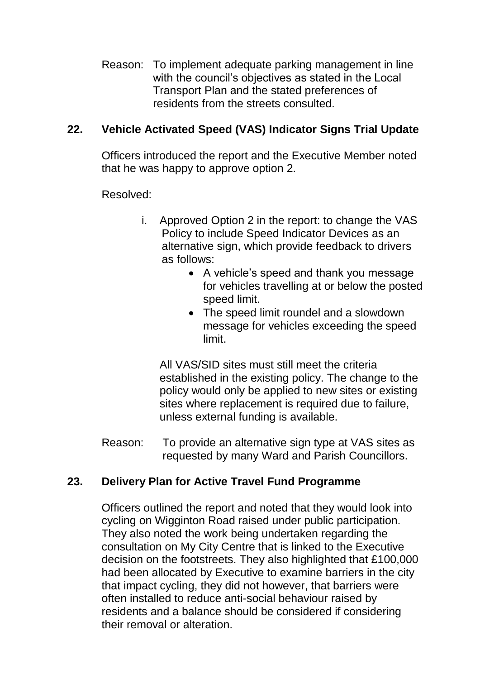Reason: To implement adequate parking management in line with the council's objectives as stated in the Local Transport Plan and the stated preferences of residents from the streets consulted.

# **22. Vehicle Activated Speed (VAS) Indicator Signs Trial Update**

Officers introduced the report and the Executive Member noted that he was happy to approve option 2.

Resolved:

- i. Approved Option 2 in the report: to change the VAS Policy to include Speed Indicator Devices as an alternative sign, which provide feedback to drivers as follows:
	- A vehicle's speed and thank you message for vehicles travelling at or below the posted speed limit.
	- The speed limit roundel and a slowdown message for vehicles exceeding the speed limit.

All VAS/SID sites must still meet the criteria established in the existing policy. The change to the policy would only be applied to new sites or existing sites where replacement is required due to failure, unless external funding is available.

Reason: To provide an alternative sign type at VAS sites as requested by many Ward and Parish Councillors.

## **23. Delivery Plan for Active Travel Fund Programme**

Officers outlined the report and noted that they would look into cycling on Wigginton Road raised under public participation. They also noted the work being undertaken regarding the consultation on My City Centre that is linked to the Executive decision on the footstreets. They also highlighted that £100,000 had been allocated by Executive to examine barriers in the city that impact cycling, they did not however, that barriers were often installed to reduce anti-social behaviour raised by residents and a balance should be considered if considering their removal or alteration.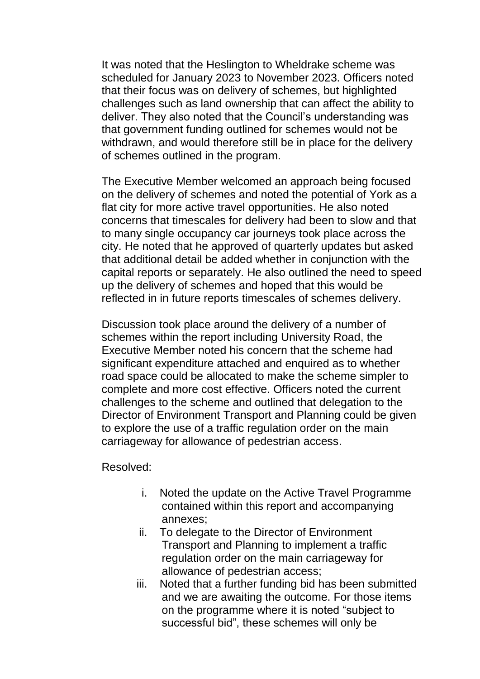It was noted that the Heslington to Wheldrake scheme was scheduled for January 2023 to November 2023. Officers noted that their focus was on delivery of schemes, but highlighted challenges such as land ownership that can affect the ability to deliver. They also noted that the Council's understanding was that government funding outlined for schemes would not be withdrawn, and would therefore still be in place for the delivery of schemes outlined in the program.

The Executive Member welcomed an approach being focused on the delivery of schemes and noted the potential of York as a flat city for more active travel opportunities. He also noted concerns that timescales for delivery had been to slow and that to many single occupancy car journeys took place across the city. He noted that he approved of quarterly updates but asked that additional detail be added whether in conjunction with the capital reports or separately. He also outlined the need to speed up the delivery of schemes and hoped that this would be reflected in in future reports timescales of schemes delivery.

Discussion took place around the delivery of a number of schemes within the report including University Road, the Executive Member noted his concern that the scheme had significant expenditure attached and enquired as to whether road space could be allocated to make the scheme simpler to complete and more cost effective. Officers noted the current challenges to the scheme and outlined that delegation to the Director of Environment Transport and Planning could be given to explore the use of a traffic regulation order on the main carriageway for allowance of pedestrian access.

Resolved:

- i. Noted the update on the Active Travel Programme contained within this report and accompanying annexes;
- ii. To delegate to the Director of Environment Transport and Planning to implement a traffic regulation order on the main carriageway for allowance of pedestrian access;
- iii. Noted that a further funding bid has been submitted and we are awaiting the outcome. For those items on the programme where it is noted "subject to successful bid", these schemes will only be